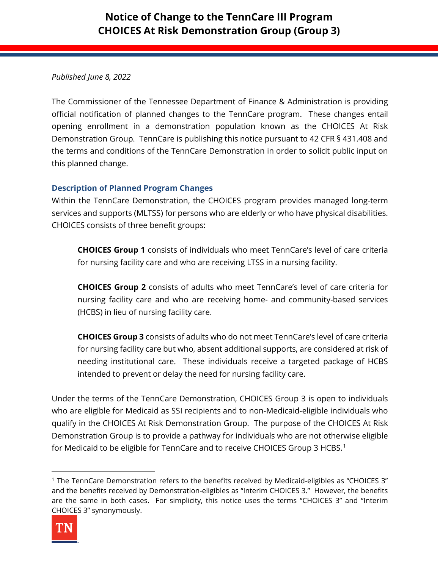# **Notice of Change to the TennCare III Program CHOICES At Risk Demonstration Group (Group 3)**

## *Published June 8, 2022*

The Commissioner of the Tennessee Department of Finance & Administration is providing official notification of planned changes to the TennCare program. These changes entail opening enrollment in a demonstration population known as the CHOICES At Risk Demonstration Group. TennCare is publishing this notice pursuant to 42 CFR § 431.408 and the terms and conditions of the TennCare Demonstration in order to solicit public input on this planned change.

### **Description of Planned Program Changes**

Within the TennCare Demonstration, the CHOICES program provides managed long-term services and supports (MLTSS) for persons who are elderly or who have physical disabilities. CHOICES consists of three benefit groups:

**CHOICES Group 1** consists of individuals who meet TennCare's level of care criteria for nursing facility care and who are receiving LTSS in a nursing facility.

**CHOICES Group 2** consists of adults who meet TennCare's level of care criteria for nursing facility care and who are receiving home- and community-based services (HCBS) in lieu of nursing facility care.

**CHOICES Group 3** consists of adults who do not meet TennCare's level of care criteria for nursing facility care but who, absent additional supports, are considered at risk of needing institutional care. These individuals receive a targeted package of HCBS intended to prevent or delay the need for nursing facility care.

Under the terms of the TennCare Demonstration, CHOICES Group 3 is open to individuals who are eligible for Medicaid as SSI recipients and to non-Medicaid-eligible individuals who qualify in the CHOICES At Risk Demonstration Group. The purpose of the CHOICES At Risk Demonstration Group is to provide a pathway for individuals who are not otherwise eligible for Medicaid to be eligible for TennCare and to receive CHOICES Group 3 HCBS.<sup>[1](#page-0-0)</sup>

<span id="page-0-0"></span><sup>1</sup> The TennCare Demonstration refers to the benefits received by Medicaid-eligibles as "CHOICES 3" and the benefits received by Demonstration-eligibles as "Interim CHOICES 3." However, the benefits are the same in both cases. For simplicity, this notice uses the terms "CHOICES 3" and "Interim CHOICES 3" synonymously.

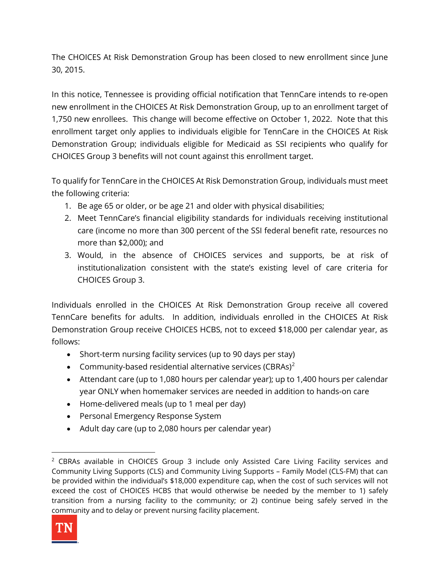The CHOICES At Risk Demonstration Group has been closed to new enrollment since June 30, 2015.

In this notice, Tennessee is providing official notification that TennCare intends to re-open new enrollment in the CHOICES At Risk Demonstration Group, up to an enrollment target of 1,750 new enrollees. This change will become effective on October 1, 2022. Note that this enrollment target only applies to individuals eligible for TennCare in the CHOICES At Risk Demonstration Group; individuals eligible for Medicaid as SSI recipients who qualify for CHOICES Group 3 benefits will not count against this enrollment target.

To qualify for TennCare in the CHOICES At Risk Demonstration Group, individuals must meet the following criteria:

- 1. Be age 65 or older, or be age 21 and older with physical disabilities;
- 2. Meet TennCare's financial eligibility standards for individuals receiving institutional care (income no more than 300 percent of the SSI federal benefit rate, resources no more than \$2,000); and
- 3. Would, in the absence of CHOICES services and supports, be at risk of institutionalization consistent with the state's existing level of care criteria for CHOICES Group 3.

Individuals enrolled in the CHOICES At Risk Demonstration Group receive all covered TennCare benefits for adults. In addition, individuals enrolled in the CHOICES At Risk Demonstration Group receive CHOICES HCBS, not to exceed \$18,000 per calendar year, as follows:

- Short-term nursing facility services (up to 90 days per stay)
- Community-based residential alternative services (CBRAs)<sup>[2](#page-1-0)</sup>
- Attendant care (up to 1,080 hours per calendar year); up to 1,400 hours per calendar year ONLY when homemaker services are needed in addition to hands-on care
- Home-delivered meals (up to 1 meal per day)
- Personal Emergency Response System
- Adult day care (up to 2,080 hours per calendar year)

<span id="page-1-0"></span> $2$  CBRAs available in CHOICES Group 3 include only Assisted Care Living Facility services and Community Living Supports (CLS) and Community Living Supports – Family Model (CLS-FM) that can be provided within the individual's \$18,000 expenditure cap, when the cost of such services will not exceed the cost of CHOICES HCBS that would otherwise be needed by the member to 1) safely transition from a nursing facility to the community; or 2) continue being safely served in the community and to delay or prevent nursing facility placement.

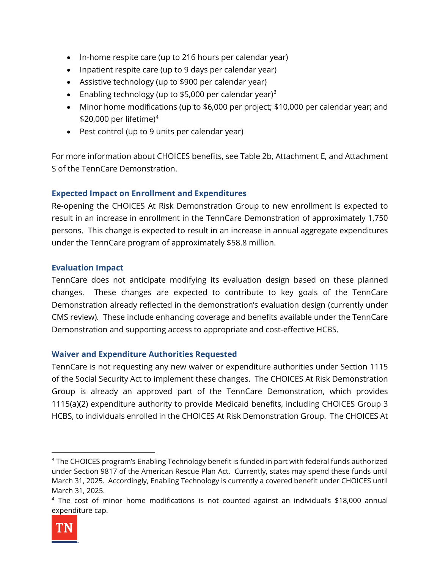- In-home respite care (up to 216 hours per calendar year)
- Inpatient respite care (up to 9 days per calendar year)
- Assistive technology (up to \$900 per calendar year)
- Enabling technology (up to \$5,000 per calendar year)<sup>[3](#page-2-0)</sup>
- Minor home modifications (up to \$6,000 per project; \$10,000 per calendar year; and \$20,000 per lifetime)<sup>[4](#page-2-1)</sup>
- Pest control (up to 9 units per calendar year)

For more information about CHOICES benefits, see Table 2b, Attachment E, and Attachment S of the TennCare Demonstration.

# **Expected Impact on Enrollment and Expenditures**

Re-opening the CHOICES At Risk Demonstration Group to new enrollment is expected to result in an increase in enrollment in the TennCare Demonstration of approximately 1,750 persons. This change is expected to result in an increase in annual aggregate expenditures under the TennCare program of approximately \$58.8 million.

# **Evaluation Impact**

TennCare does not anticipate modifying its evaluation design based on these planned changes. These changes are expected to contribute to key goals of the TennCare Demonstration already reflected in the demonstration's evaluation design (currently under CMS review). These include enhancing coverage and benefits available under the TennCare Demonstration and supporting access to appropriate and cost-effective HCBS.

### **Waiver and Expenditure Authorities Requested**

TennCare is not requesting any new waiver or expenditure authorities under Section 1115 of the Social Security Act to implement these changes. The CHOICES At Risk Demonstration Group is already an approved part of the TennCare Demonstration, which provides 1115(a)(2) expenditure authority to provide Medicaid benefits, including CHOICES Group 3 HCBS, to individuals enrolled in the CHOICES At Risk Demonstration Group. The CHOICES At

<span id="page-2-1"></span><sup>4</sup> The cost of minor home modifications is not counted against an individual's \$18,000 annual expenditure cap.



<span id="page-2-0"></span><sup>&</sup>lt;sup>3</sup> The CHOICES program's Enabling Technology benefit is funded in part with federal funds authorized under Section 9817 of the American Rescue Plan Act. Currently, states may spend these funds until March 31, 2025. Accordingly, Enabling Technology is currently a covered benefit under CHOICES until March 31, 2025.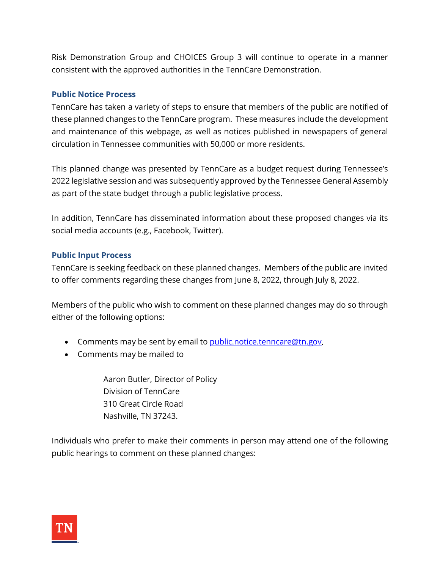Risk Demonstration Group and CHOICES Group 3 will continue to operate in a manner consistent with the approved authorities in the TennCare Demonstration.

## **Public Notice Process**

TennCare has taken a variety of steps to ensure that members of the public are notified of these planned changes to the TennCare program. These measures include the development and maintenance of this webpage, as well as notices published in newspapers of general circulation in Tennessee communities with 50,000 or more residents.

This planned change was presented by TennCare as a budget request during Tennessee's 2022 legislative session and was subsequently approved by the Tennessee General Assembly as part of the state budget through a public legislative process.

In addition, TennCare has disseminated information about these proposed changes via its social media accounts (e.g., Facebook, Twitter).

# **Public Input Process**

TennCare is seeking feedback on these planned changes. Members of the public are invited to offer comments regarding these changes from June 8, 2022, through July 8, 2022.

Members of the public who wish to comment on these planned changes may do so through either of the following options:

- Comments may be sent by email to *public.notice.tenncare@tn.gov.*
- Comments may be mailed to

Aaron Butler, Director of Policy Division of TennCare 310 Great Circle Road Nashville, TN 37243.

Individuals who prefer to make their comments in person may attend one of the following public hearings to comment on these planned changes: